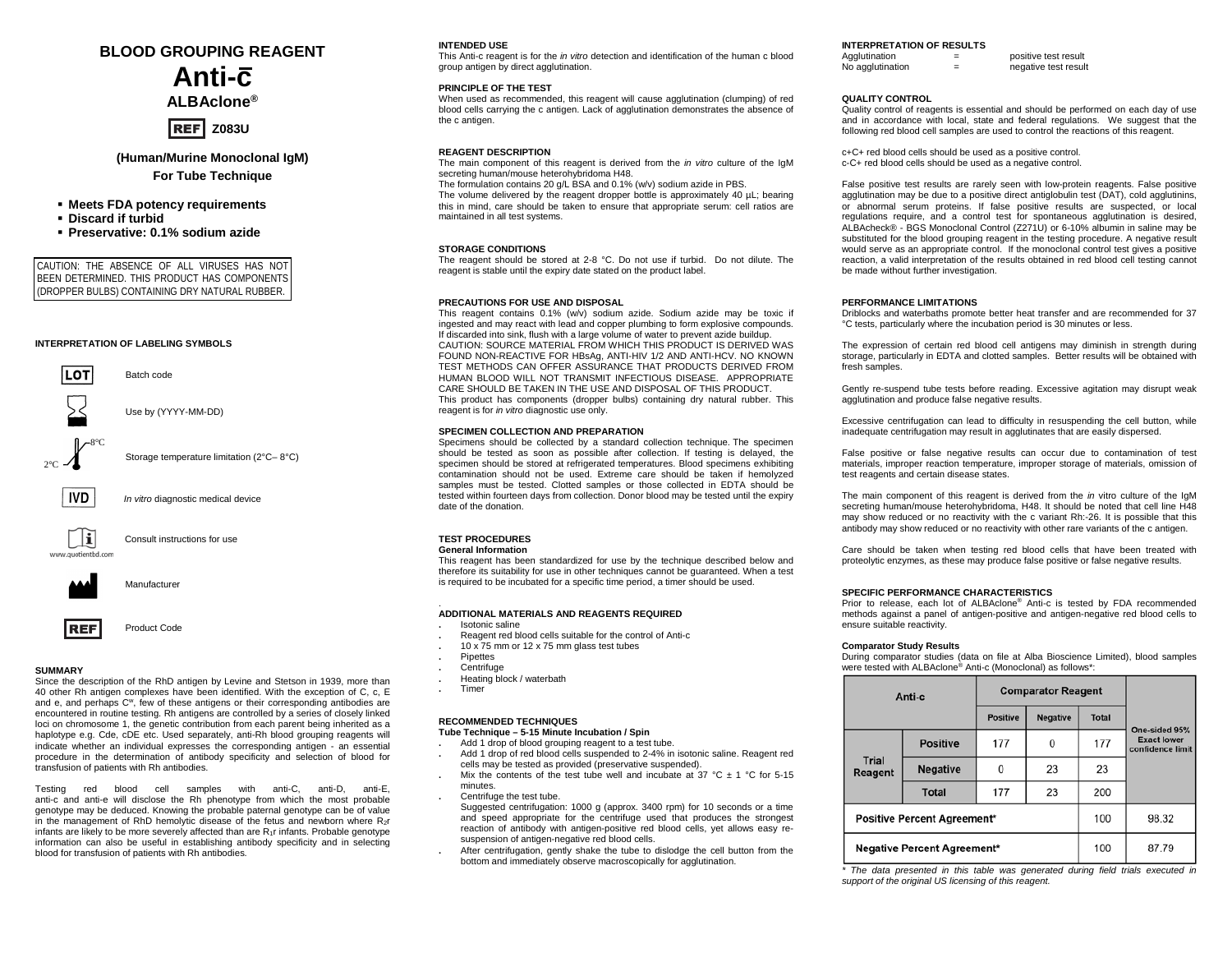### **BLOOD GROUPING REAGENT**

# **Anti-c**

**ALBAclone®**

### **REF** Z083U

**(Human/Murine Monoclonal IgM) For Tube Technique**

### **Meets FDA potency requirements**

- **Discard if turbid**
- **Preservative: 0.1% sodium azide**

CAUTION: THE ABSENCE OF ALL VIRUSES HAS NOT BEEN DETERMINED. THIS PRODUCT HAS COMPONENTS (DROPPER BULBS) CONTAINING DRY NATURAL RUBBER.

### **INTERPRETATION OF LABELING SYMBOLS**





### **SUMMARY**

Since the description of the RhD antigen by Levine and Stetson in 1939, more than 40 other Rh antigen complexes have been identified. With the exception of C, c, E and e, and perhaps C<sup>w</sup>, few of these antigens or their corresponding antibodies are encountered in routine testing. Rh antigens are controlled by a series of closely linked loci on chromosome 1, the genetic contribution from each parent being inherited as a haplotype e.g. Cde, cDE etc. Used separately, anti-Rh blood grouping reagents will indicate whether an individual expresses the corresponding antigen - an essential procedure in the determination of antibody specificity and selection of blood for transfusion of patients with Rh antibodies.

Testing red blood cell samples with anti-C, anti-D, anti-E, anti-c and anti-e will disclose the Rh phenotype from which the most probable genotype may be deduced. Knowing the probable paternal genotype can be of value in the management of RhD hemolytic disease of the fetus and newborn where  $R_2r$ infants are likely to be more severely affected than are  $R_1r$  infants. Probable genotype information can also be useful in establishing antibody specificity and in selecting blood for transfusion of patients with Rh antibodies.

### **INTENDED USE**

This Anti-c reagent is for the *in vitro* detection and identification of the human c blood group antigen by direct agglutination.

### **PRINCIPLE OF THE TEST**

When used as recommended, this reagent will cause agglutination (clumping) of red blood cells carrying the c antigen. Lack of agglutination demonstrates the absence of the c antigen

### **REAGENT DESCRIPTION**

The main component of this reagent is derived from the *in vitro* culture of the IgM secreting human/mouse heterohybridoma H48.

The formulation contains 20 g/L BSA and 0.1% (w/v) sodium azide in PBS.

The volume delivered by the reagent dropper bottle is approximately 40 µL; bearing this in mind, care should be taken to ensure that appropriate serum: cell ratios are maintained in all test systems.

### **STORAGE CONDITIONS**

The reagent should be stored at 2-8 °C. Do not use if turbid. Do not dilute. The reagent is stable until the expiry date stated on the product label.

### **PRECAUTIONS FOR USE AND DISPOSAL**

This reagent contains 0.1% (w/v) sodium azide. Sodium azide may be toxic if ingested and may react with lead and copper plumbing to form explosive compounds. If discarded into sink, flush with a large volume of water to prevent azide buildup. CAUTION: SOURCE MATERIAL FROM WHICH THIS PRODUCT IS DERIVED WAS FOUND NON-REACTIVE FOR HBsAg, ANTI-HIV 1/2 AND ANTI-HCV. NO KNOWN TEST METHODS CAN OFFER ASSURANCE THAT PRODUCTS DERIVED FROM HUMAN BLOOD WILL NOT TRANSMIT INFECTIOUS DISEASE. APPROPRIATE CARE SHOULD BE TAKEN IN THE USE AND DISPOSAL OF THIS PRODUCT. This product has components (dropper bulbs) containing dry natural rubber. This reagent is for *in vitro* diagnostic use only.

### **SPECIMEN COLLECTION AND PREPARATION**

Specimens should be collected by a standard collection technique. The specimen should be tested as soon as possible after collection. If testing is delayed, the specimen should be stored at refrigerated temperatures. Blood specimens exhibiting contamination should not be used. Extreme care should be taken if hemolyzed samples must be tested. Clotted samples or those collected in EDTA should be tested within fourteen days from collection. Donor blood may be tested until the expiry date of the donation.

### **TEST PROCEDURES**

**General Information**

This reagent has been standardized for use by the technique described below and therefore its suitability for use in other techniques cannot be guaranteed. When a test is required to be incubated for a specific time period, a timer should be used.

## . **ADDITIONAL MATERIALS AND REAGENTS REQUIRED**

- **.** Isotonic saline
- **.** Reagent red blood cells suitable for the control of Anti-c
- **.** 10 x 75 mm or 12 x 75 mm glass test tubes
- **.** Pipettes
- **.** Centrifuge
- **.** Heating block / waterbath
- **.** Timer

#### **RECOMMENDED TECHNIQUES Tube Technique – 5-15 Minute Incubation / Spin**

**.** Add 1 drop of blood grouping reagent to a test tube.

- **.** Add 1 drop of red blood cells suspended to 2-4% in isotonic saline. Reagent red cells may be tested as provided (preservative suspended).
- Mix the contents of the test tube well and incubate at  $37 \text{ °C} \pm 1 \text{ °C}$  for 5-15 minutes.
- **.** Centrifuge the test tube.
	- Suggested centrifugation: 1000 g (approx. 3400 rpm) for 10 seconds or a time and speed appropriate for the centrifuge used that produces the strongest reaction of antibody with antigen-positive red blood cells, yet allows easy resuspension of antigen-negative red blood cells.
- **.** After centrifugation, gently shake the tube to dislodge the cell button from the bottom and immediately observe macroscopically for agglutination.

### **INTERPRETATION OF RESULTS**

| Agglutination    | - | positive test result |
|------------------|---|----------------------|
| No agglutination | - | negative test result |

### **QUALITY CONTROL**

Quality control of reagents is essential and should be performed on each day of use and in accordance with local, state and federal regulations. We suggest that the following red blood cell samples are used to control the reactions of this reagent.

c+C+ red blood cells should be used as a positive control. c-C+ red blood cells should be used as a negative control.

False positive test results are rarely seen with low-protein reagents. False positive agglutination may be due to a positive direct antiglobulin test (DAT), cold agglutinins, or abnormal serum proteins. If false positive results are suspected, or local regulations require, and a control test for spontaneous agglutination is desired, ALBAcheck® - BGS Monoclonal Control (Z271U) or 6-10% albumin in saline may be substituted for the blood grouping reagent in the testing procedure. A negative result would serve as an appropriate control. If the monoclonal control test gives a positive reaction, a valid interpretation of the results obtained in red blood cell testing cannot be made without further investigation.

#### **PERFORMANCE LIMITATIONS**

Driblocks and waterbaths promote better heat transfer and are recommended for 37 °C tests, particularly where the incubation period is 30 minutes or less.

The expression of certain red blood cell antigens may diminish in strength during storage, particularly in EDTA and clotted samples. Better results will be obtained with fresh samples.

Gently re-suspend tube tests before reading. Excessive agitation may disrupt weak agglutination and produce false negative results.

Excessive centrifugation can lead to difficulty in resuspending the cell button, while inadequate centrifugation may result in agglutinates that are easily dispersed.

False positive or false negative results can occur due to contamination of test materials, improper reaction temperature, improper storage of materials, omission of test reagents and certain disease states.

The main component of this reagent is derived from the *in* vitro culture of the IgM secreting human/mouse heterohybridoma, H48. It should be noted that cell line H48 may show reduced or no reactivity with the c variant Rh:-26. It is possible that this antibody may show reduced or no reactivity with other rare variants of the c antigen.

Care should be taken when testing red blood cells that have been treated with proteolytic enzymes, as these may produce false positive or false negative results.

### **SPECIFIC PERFORMANCE CHARACTERISTICS**

Prior to release, each lot of ALBAclone® Anti-c is tested by FDA recommended methods against a panel of antigen-positive and antigen-negative red blood cells to ensure suitable reactivity.

#### **Comparator Study Results**

During comparator studies (data on file at Alba Bioscience Limited), blood samples were tested with ALBAclone® Anti-c (Monoclonal) as follows\*:

| Anti-c                             |                 | <b>Comparator Reagent</b> |                 |              |                                        |
|------------------------------------|-----------------|---------------------------|-----------------|--------------|----------------------------------------|
|                                    |                 | <b>Positive</b>           | <b>Negative</b> | <b>Total</b> | One-sided 95%                          |
|                                    | <b>Positive</b> | 177                       | 0               | 177          | <b>Exact lower</b><br>confidence limit |
| <b>Trial</b><br>Reagent            | <b>Negative</b> | O                         | 23              | 23           |                                        |
|                                    | <b>Total</b>    | 177                       | 23              | 200          |                                        |
| <b>Positive Percent Agreement*</b> |                 |                           | 100             | 98.32        |                                        |
| <b>Negative Percent Agreement*</b> |                 |                           | 100             | 87.79        |                                        |

*\* The data presented in this table was generated during field trials executed in support of the original US licensing of this reagent.*